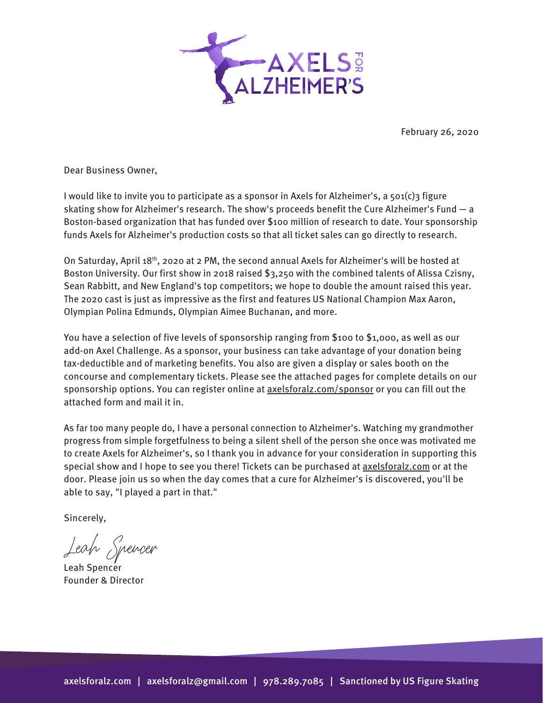

February 26, 2020

Dear Business Owner,

I would like to invite you to participate as a sponsor in Axels for Alzheimer's, a 501(c)3 figure skating show for Alzheimer's research. The show's proceeds benefit the Cure Alzheimer's Fund — a Boston-based organization that has funded over \$100 million of research to date. Your sponsorship funds Axels for Alzheimer's production costs so that all ticket sales can go directly to research.

On Saturday, April 18th, 2020 at 2 PM, the second annual Axels for Alzheimer's will be hosted at Boston University. Our first show in 2018 raised \$3,250 with the combined talents of Alissa Czisny, Sean Rabbitt, and New England's top competitors; we hope to double the amount raised this year. The 2020 cast is just as impressive as the first and features US National Champion Max Aaron, Olympian Polina Edmunds, Olympian Aimee Buchanan, and more.

You have a selection of five levels of sponsorship ranging from \$100 to \$1,000, as well as our add-on Axel Challenge. As a sponsor, your business can take advantage of your donation being tax-deductible and of marketing benefits. You also are given a display or sales booth on the concourse and complementary tickets. Please see the attached pages for complete details on our sponsorship options. You can register online at **[axelsforalz.com](http://axelsforalz.com/sponsor)/sponsor** or you can fill out the attached form and mail it in.

As far too many people do, I have a personal connection to Alzheimer's. Watching my grandmother progress from simple forgetfulness to being a silent shell of the person she once was motivated me to create Axels for Alzheimer's, so I thank you in advance for your consideration in supporting this special show and I hope to see you there! Tickets can be purchased at [axelsforalz.com](http://axelsforalz.com/) or at the door. Please join us so when the day comes that a cure for Alzheimer's is discovered, you'll be able to say, "I played a part in that."

Sincerely,

Leah Spencer

Leah Spencer Founder & Director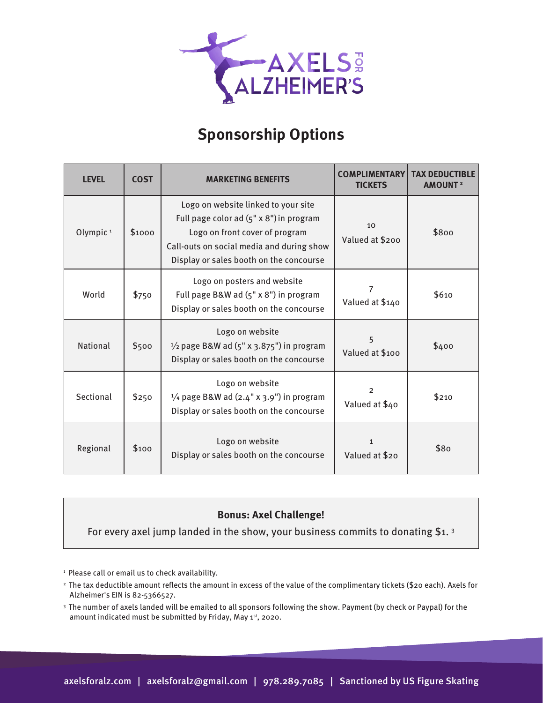

## **Sponsorship Options**

| <b>LEVEL</b>         | <b>COST</b> | <b>MARKETING BENEFITS</b>                                                                                                                                                                                | <b>COMPLIMENTARY</b><br><b>TICKETS</b> | <b>TAX DEDUCTIBLE</b><br><b>AMOUNT</b> <sup>2</sup> |
|----------------------|-------------|----------------------------------------------------------------------------------------------------------------------------------------------------------------------------------------------------------|----------------------------------------|-----------------------------------------------------|
| Olympic <sup>1</sup> | \$1000      | Logo on website linked to your site<br>Full page color ad (5" x 8") in program<br>Logo on front cover of program<br>Call-outs on social media and during show<br>Display or sales booth on the concourse | 10<br>Valued at \$200                  | \$800                                               |
| World                | \$750       | Logo on posters and website<br>Full page B&W ad (5" x 8") in program<br>Display or sales booth on the concourse                                                                                          | 7<br>Valued at \$140                   | \$610                                               |
| <b>National</b>      | \$500       | Logo on website<br>$\frac{1}{2}$ page B&W ad (5" x 3.875") in program<br>Display or sales booth on the concourse                                                                                         | 5<br>Valued at \$100                   | \$400                                               |
| Sectional            | \$250       | Logo on website<br>$\frac{1}{4}$ page B&W ad (2.4" x 3.9") in program<br>Display or sales booth on the concourse                                                                                         | $\overline{2}$<br>Valued at \$40       | \$210                                               |
| Regional             | \$100       | Logo on website<br>Display or sales booth on the concourse                                                                                                                                               | $\mathbf{1}$<br>Valued at \$20         | \$80                                                |

## **Bonus: Axel Challenge!**

For every axel jump landed in the show, your business commits to donating \$1. 3

<sup>1</sup> Please call or email us to check availability.

- 2 The tax deductible amount reflects the amount in excess of the value of the complimentary tickets (\$20 each). Axels for Alzheimer's EIN is 82-5366527.
- 3 The number of axels landed will be emailed to all sponsors following the show. Payment (by check or Paypal) for the amount indicated must be submitted by Friday, May 1st, 2020.